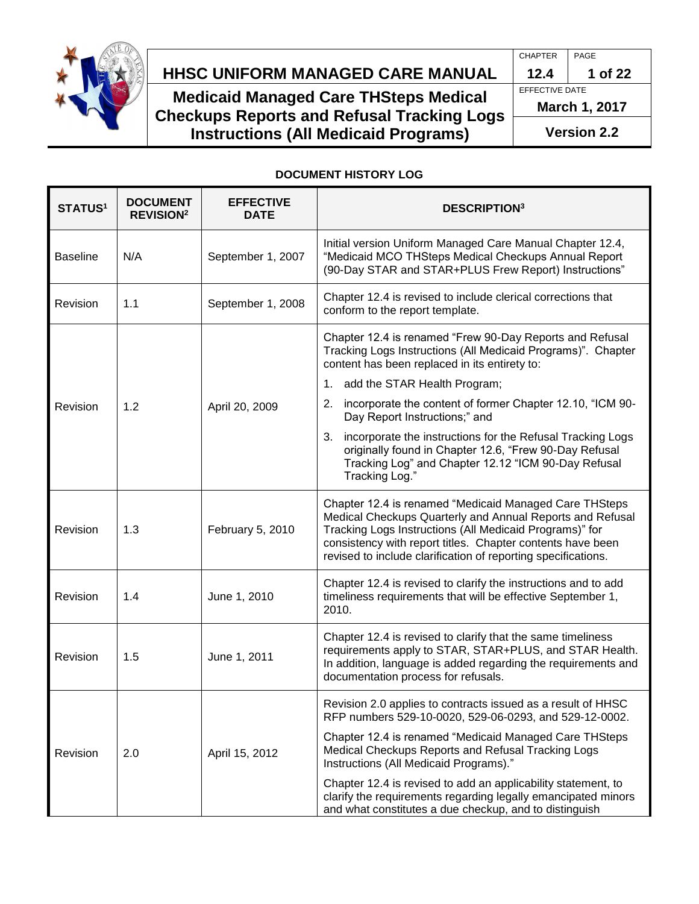

# **HHSC Uniform Managed Care MANUAL HHSC UNIFORM MANAGED CARE MANUAL 12.4 1 of 22**

**Medicaid Managed Care THSteps Medical Checkups Reports and Refusal Tracking Logs Instructions (All Medicaid Programs)**

CHAPTER PAGE EFFECTIVE DATE **March 1, 2017 Version 2.2**

### **DOCUMENT HISTORY LOG**

| <b>STATUS1</b>  | <b>DOCUMENT</b><br><b>REVISION<sup>2</sup></b> | <b>EFFECTIVE</b><br><b>DATE</b> | <b>DESCRIPTION3</b>                                                                                                                                                                                                                                                                                           |
|-----------------|------------------------------------------------|---------------------------------|---------------------------------------------------------------------------------------------------------------------------------------------------------------------------------------------------------------------------------------------------------------------------------------------------------------|
| <b>Baseline</b> | N/A                                            | September 1, 2007               | Initial version Uniform Managed Care Manual Chapter 12.4,<br>"Medicaid MCO THSteps Medical Checkups Annual Report<br>(90-Day STAR and STAR+PLUS Frew Report) Instructions"                                                                                                                                    |
| Revision        | 1.1                                            | September 1, 2008               | Chapter 12.4 is revised to include clerical corrections that<br>conform to the report template.                                                                                                                                                                                                               |
|                 |                                                |                                 | Chapter 12.4 is renamed "Frew 90-Day Reports and Refusal<br>Tracking Logs Instructions (All Medicaid Programs)". Chapter<br>content has been replaced in its entirety to:<br>add the STAR Health Program;<br>1.                                                                                               |
| Revision        | 1.2                                            | April 20, 2009                  | incorporate the content of former Chapter 12.10, "ICM 90-<br>2.<br>Day Report Instructions;" and                                                                                                                                                                                                              |
|                 |                                                |                                 | incorporate the instructions for the Refusal Tracking Logs<br>3.<br>originally found in Chapter 12.6, "Frew 90-Day Refusal<br>Tracking Log" and Chapter 12.12 "ICM 90-Day Refusal<br>Tracking Log."                                                                                                           |
| Revision        | 1.3                                            | February 5, 2010                | Chapter 12.4 is renamed "Medicaid Managed Care THSteps<br>Medical Checkups Quarterly and Annual Reports and Refusal<br>Tracking Logs Instructions (All Medicaid Programs)" for<br>consistency with report titles. Chapter contents have been<br>revised to include clarification of reporting specifications. |
| <b>Revision</b> | 1.4                                            | June 1, 2010                    | Chapter 12.4 is revised to clarify the instructions and to add<br>timeliness requirements that will be effective September 1,<br>2010.                                                                                                                                                                        |
| Revision        | 1.5                                            | June 1, 2011                    | Chapter 12.4 is revised to clarify that the same timeliness<br>requirements apply to STAR, STAR+PLUS, and STAR Health.<br>In addition, language is added regarding the requirements and<br>documentation process for refusals.                                                                                |
|                 |                                                |                                 | Revision 2.0 applies to contracts issued as a result of HHSC<br>RFP numbers 529-10-0020, 529-06-0293, and 529-12-0002.                                                                                                                                                                                        |
| Revision        | 2.0                                            | April 15, 2012                  | Chapter 12.4 is renamed "Medicaid Managed Care THSteps<br>Medical Checkups Reports and Refusal Tracking Logs<br>Instructions (All Medicaid Programs)."                                                                                                                                                        |
|                 |                                                |                                 | Chapter 12.4 is revised to add an applicability statement, to<br>clarify the requirements regarding legally emancipated minors<br>and what constitutes a due checkup, and to distinguish                                                                                                                      |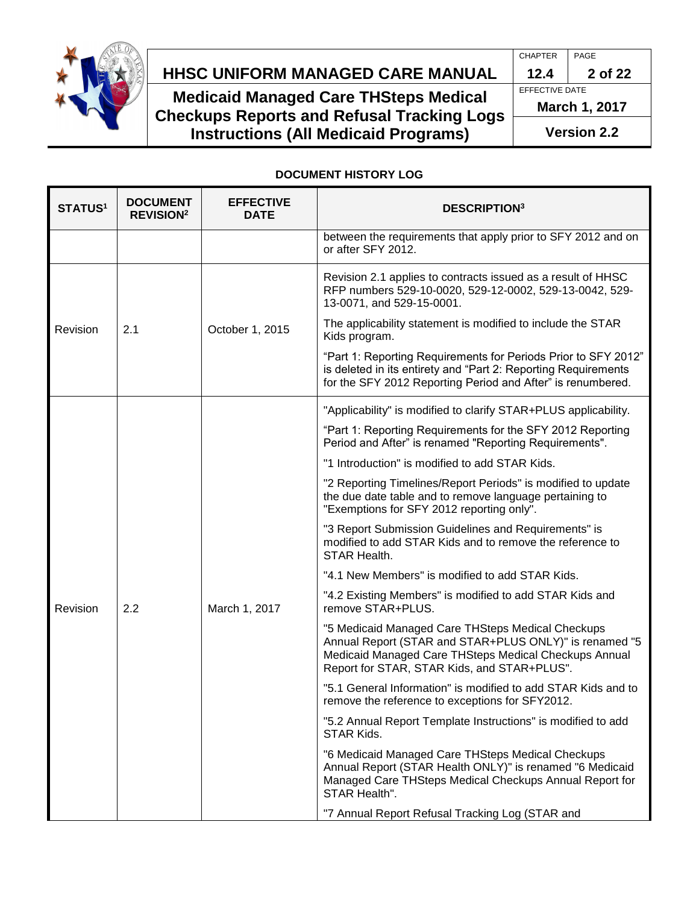

# **HHSC Uniform Managed Care MANUAL HHSC UNIFORM MANAGED CARE MANUAL 12.4 2 of 22**

**Medicaid Managed Care THSteps Medical Checkups Reports and Refusal Tracking Logs Instructions (All Medicaid Programs)**

CHAPTER PAGE EFFECTIVE DATE **March 1, 2017 Version 2.2**

### **DOCUMENT HISTORY LOG**

| <b>STATUS1</b> | <b>DOCUMENT</b><br><b>REVISION<sup>2</sup></b> | <b>EFFECTIVE</b><br><b>DATE</b> | <b>DESCRIPTION3</b>                                                                                                                                                                                                 |
|----------------|------------------------------------------------|---------------------------------|---------------------------------------------------------------------------------------------------------------------------------------------------------------------------------------------------------------------|
|                |                                                |                                 | between the requirements that apply prior to SFY 2012 and on<br>or after SFY 2012.                                                                                                                                  |
|                |                                                | October 1, 2015                 | Revision 2.1 applies to contracts issued as a result of HHSC<br>RFP numbers 529-10-0020, 529-12-0002, 529-13-0042, 529-<br>13-0071, and 529-15-0001.                                                                |
| Revision       | 2.1                                            |                                 | The applicability statement is modified to include the STAR<br>Kids program.                                                                                                                                        |
|                |                                                |                                 | "Part 1: Reporting Requirements for Periods Prior to SFY 2012"<br>is deleted in its entirety and "Part 2: Reporting Requirements<br>for the SFY 2012 Reporting Period and After" is renumbered.                     |
|                |                                                |                                 | "Applicability" is modified to clarify STAR+PLUS applicability.                                                                                                                                                     |
|                |                                                | March 1, 2017                   | "Part 1: Reporting Requirements for the SFY 2012 Reporting<br>Period and After" is renamed "Reporting Requirements".                                                                                                |
|                |                                                |                                 | "1 Introduction" is modified to add STAR Kids.                                                                                                                                                                      |
|                |                                                |                                 | "2 Reporting Timelines/Report Periods" is modified to update<br>the due date table and to remove language pertaining to<br>"Exemptions for SFY 2012 reporting only".                                                |
|                |                                                |                                 | "3 Report Submission Guidelines and Requirements" is<br>modified to add STAR Kids and to remove the reference to<br>STAR Health.                                                                                    |
|                |                                                |                                 | "4.1 New Members" is modified to add STAR Kids.                                                                                                                                                                     |
| Revision       | 2.2                                            |                                 | "4.2 Existing Members" is modified to add STAR Kids and<br>remove STAR+PLUS.                                                                                                                                        |
|                |                                                |                                 | "5 Medicaid Managed Care THSteps Medical Checkups<br>Annual Report (STAR and STAR+PLUS ONLY)" is renamed "5<br>Medicaid Managed Care THSteps Medical Checkups Annual<br>Report for STAR, STAR Kids, and STAR+PLUS". |
|                |                                                |                                 | "5.1 General Information" is modified to add STAR Kids and to<br>remove the reference to exceptions for SFY2012.                                                                                                    |
|                |                                                |                                 | "5.2 Annual Report Template Instructions" is modified to add<br>STAR Kids.                                                                                                                                          |
|                |                                                |                                 | "6 Medicaid Managed Care THSteps Medical Checkups<br>Annual Report (STAR Health ONLY)" is renamed "6 Medicaid<br>Managed Care THSteps Medical Checkups Annual Report for<br>STAR Health".                           |
|                |                                                |                                 | "7 Annual Report Refusal Tracking Log (STAR and                                                                                                                                                                     |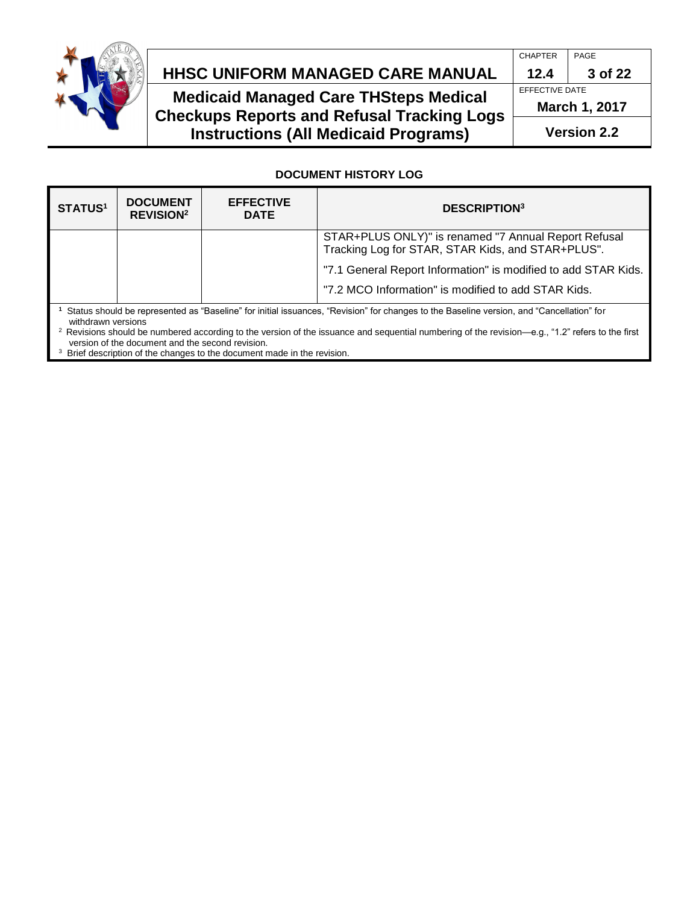

# **HHSC Uniform Managed Care MANUAL HHSC UNIFORM MANAGED CARE MANUAL 12.4 3 of 22**

**Medicaid Managed Care THSteps Medical Checkups Reports and Refusal Tracking Logs Instructions (All Medicaid Programs)**

### **DOCUMENT HISTORY LOG**

| <b>STATUS1</b>                                                                                                                                                 | <b>DOCUMENT</b><br><b>REVISION<sup>2</sup></b> | <b>EFFECTIVE</b><br><b>DATE</b> | <b>DESCRIPTION3</b>                                                                                       |
|----------------------------------------------------------------------------------------------------------------------------------------------------------------|------------------------------------------------|---------------------------------|-----------------------------------------------------------------------------------------------------------|
|                                                                                                                                                                |                                                |                                 | STAR+PLUS ONLY)" is renamed "7 Annual Report Refusal<br>Tracking Log for STAR, STAR Kids, and STAR+PLUS". |
|                                                                                                                                                                |                                                |                                 | "7.1 General Report Information" is modified to add STAR Kids.                                            |
|                                                                                                                                                                |                                                |                                 | "7.2 MCO Information" is modified to add STAR Kids.                                                       |
| Status should be represented as "Baseline" for initial issuances, "Revision" for changes to the Baseline version, and "Cancellation" for<br>withdrawn versions |                                                |                                 |                                                                                                           |

<sup>2</sup> Revisions should be numbered according to the version of the issuance and sequential numbering of the revision—e.g., "1.2" refers to the first version of the document and the second revision.

<sup>3</sup> Brief description of the changes to the document made in the revision.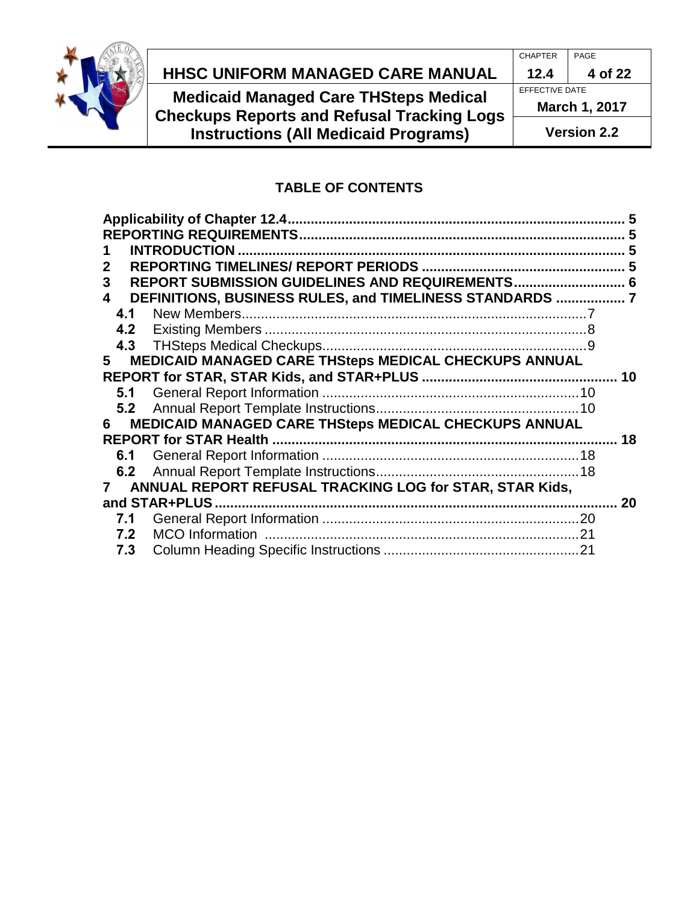

# **HHSC Uniform Managed Care MANUAL HHSC UNIFORM MANAGED CARE MANUAL 12.4 4 of 22**

**Medicaid Managed Care THSteps Medical Checkups Reports and Refusal Tracking Logs Instructions (All Medicaid Programs)**

CHAPTER PAGE EFFECTIVE DATE **March 1, 2017 Version 2.2**

### **TABLE OF CONTENTS**

| 2<br>3<br>4 | REPORT SUBMISSION GUIDELINES AND REQUIREMENTS 6<br>DEFINITIONS, BUSINESS RULES, and TIMELINESS STANDARDS | 5  |
|-------------|----------------------------------------------------------------------------------------------------------|----|
| 4.1         |                                                                                                          |    |
| 4.2         |                                                                                                          |    |
|             |                                                                                                          |    |
| 5           | MEDICAID MANAGED CARE THSteps MEDICAL CHECKUPS ANNUAL                                                    |    |
|             |                                                                                                          | 10 |
| 5.1         |                                                                                                          |    |
|             |                                                                                                          |    |
| 6           | MEDICAID MANAGED CARE THSteps MEDICAL CHECKUPS ANNUAL                                                    |    |
|             |                                                                                                          | 18 |
|             |                                                                                                          |    |
|             |                                                                                                          |    |
|             | ANNUAL REPORT REFUSAL TRACKING LOG for STAR, STAR Kids,                                                  |    |
|             | and STAR+PLUS                                                                                            | 20 |
| 7.1         |                                                                                                          |    |
| 7.2         |                                                                                                          |    |
| 7.3         |                                                                                                          |    |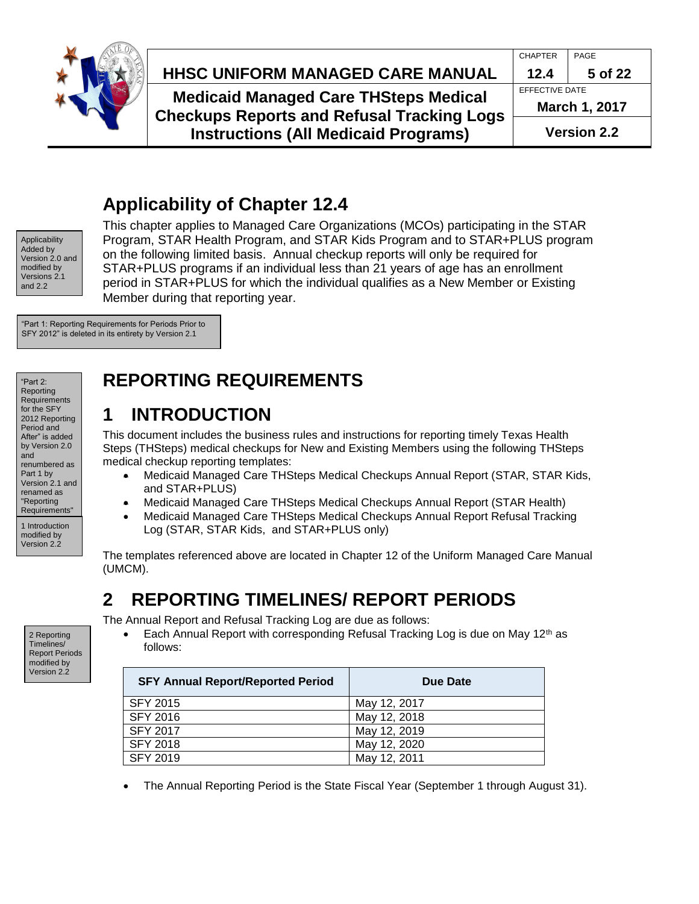

# **HHSC Uniform Managed Care MANUAL HHSC UNIFORM MANAGED CARE MANUAL 12.4 5 of 22**

**Medicaid Managed Care THSteps Medical Checkups Reports and Refusal Tracking Logs Instructions (All Medicaid Programs)**

# <span id="page-4-0"></span>**Applicability of Chapter 12.4**

Applicability Added by Version 2.0 and modified by Versions 2.1 and 2.2

This chapter applies to Managed Care Organizations (MCOs) participating in the STAR Program, STAR Health Program, and STAR Kids Program and to STAR+PLUS program on the following limited basis. Annual checkup reports will only be required for STAR+PLUS programs if an individual less than 21 years of age has an enrollment period in STAR+PLUS for which the individual qualifies as a New Member or Existing Member during that reporting year.

"Part 1: Reporting Requirements for Periods Prior to SFY 2012" is deleted in its entirety by Version 2.1

"Part  $2$ Reporting **Requirements** for the SFY 2012 Reporting Period and After" is added by Version 2.0 and renumbered as Part 1 by Version 2.1 and renamed as "Reporting Requirements" 1 Introduction modified by

Version 2.2

# <span id="page-4-1"></span>**REPORTING REQUIREMENTS**

# <span id="page-4-2"></span>**1 INTRODUCTION**

This document includes the business rules and instructions for reporting timely Texas Health Steps (THSteps) medical checkups for New and Existing Members using the following THSteps medical checkup reporting templates:

- Medicaid Managed Care THSteps Medical Checkups Annual Report (STAR, STAR Kids, and STAR+PLUS)
- Medicaid Managed Care THSteps Medical Checkups Annual Report (STAR Health)
- Medicaid Managed Care THSteps Medical Checkups Annual Report Refusal Tracking Log (STAR, STAR Kids, and STAR+PLUS only)

The templates referenced above are located in Chapter 12 of the Uniform Managed Care Manual (UMCM).

# <span id="page-4-3"></span>**2 REPORTING TIMELINES/ REPORT PERIODS**

The Annual Report and Refusal Tracking Log are due as follows:

Each Annual Report with corresponding Refusal Tracking Log is due on May  $12<sup>th</sup>$  as follows:

| <b>SFY Annual Report/Reported Period</b> | Due Date     |
|------------------------------------------|--------------|
| <b>SFY 2015</b>                          | May 12, 2017 |
| SFY 2016                                 | May 12, 2018 |
| <b>SFY 2017</b>                          | May 12, 2019 |
| <b>SFY 2018</b>                          | May 12, 2020 |
| SFY 2019                                 | May 12, 2011 |

The Annual Reporting Period is the State Fiscal Year (September 1 through August 31).

2 Reporting Timelines/ Report Periods modified by Version 2.2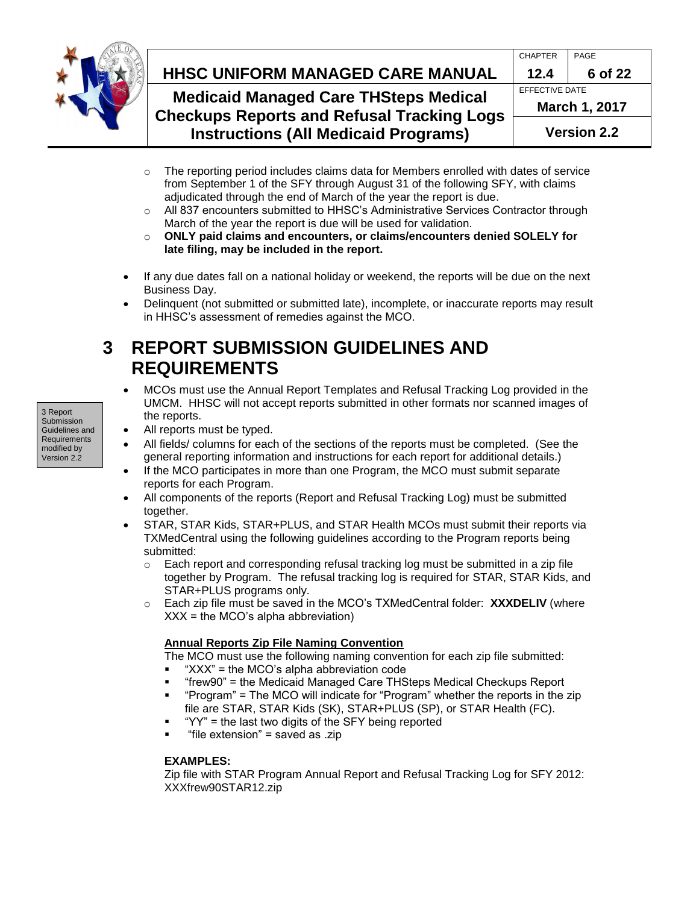

# **HHSC Uniform Managed Care MANUAL HHSC UNIFORM MANAGED CARE MANUAL 12.4 6 of 22**

## **Medicaid Managed Care THSteps Medical Checkups Reports and Refusal Tracking Logs Instructions (All Medicaid Programs)**

| gs |                       | <b>Version 2.2</b> |  |
|----|-----------------------|--------------------|--|
|    | <b>March 1, 2017</b>  |                    |  |
|    | <b>EFFECTIVE DATE</b> |                    |  |
|    | 12.4                  | 6 of 22            |  |
|    | <b>CHAPTER</b>        | PAGE               |  |
|    |                       |                    |  |

- o The reporting period includes claims data for Members enrolled with dates of service from September 1 of the SFY through August 31 of the following SFY, with claims adjudicated through the end of March of the year the report is due.
- o All 837 encounters submitted to HHSC's Administrative Services Contractor through March of the year the report is due will be used for validation.
- o **ONLY paid claims and encounters, or claims/encounters denied SOLELY for late filing, may be included in the report.**
- If any due dates fall on a national holiday or weekend, the reports will be due on the next Business Day.
- Delinquent (not submitted or submitted late), incomplete, or inaccurate reports may result in HHSC's assessment of remedies against the MCO.

# <span id="page-5-0"></span>**3 REPORT SUBMISSION GUIDELINES AND REQUIREMENTS**

- MCOs must use the Annual Report Templates and Refusal Tracking Log provided in the UMCM. HHSC will not accept reports submitted in other formats nor scanned images of the reports.
- 3 Report Submission Guidelines and **Requirements** modified by Version 2.2
- All reports must be typed.
- All fields/ columns for each of the sections of the reports must be completed. (See the general reporting information and instructions for each report for additional details.)
- If the MCO participates in more than one Program, the MCO must submit separate reports for each Program.
- All components of the reports (Report and Refusal Tracking Log) must be submitted together.
- STAR, STAR Kids, STAR+PLUS, and STAR Health MCOs must submit their reports via TXMedCentral using the following guidelines according to the Program reports being submitted:
	- $\circ$  Each report and corresponding refusal tracking log must be submitted in a zip file together by Program. The refusal tracking log is required for STAR, STAR Kids, and STAR+PLUS programs only.
	- o Each zip file must be saved in the MCO's TXMedCentral folder: **XXXDELIV** (where  $XXX =$  the MCO's alpha abbreviation)

### **Annual Reports Zip File Naming Convention**

- The MCO must use the following naming convention for each zip file submitted:
- "XXX" = the MCO's alpha abbreviation code
- "frew90" = the Medicaid Managed Care THSteps Medical Checkups Report
- "Program" = The MCO will indicate for "Program" whether the reports in the zip file are STAR, STAR Kids (SK), STAR+PLUS (SP), or STAR Health (FC).
- "YY" = the last two digits of the SFY being reported
- "file extension" = saved as .zip

### **EXAMPLES:**

Zip file with STAR Program Annual Report and Refusal Tracking Log for SFY 2012: XXXfrew90STAR12.zip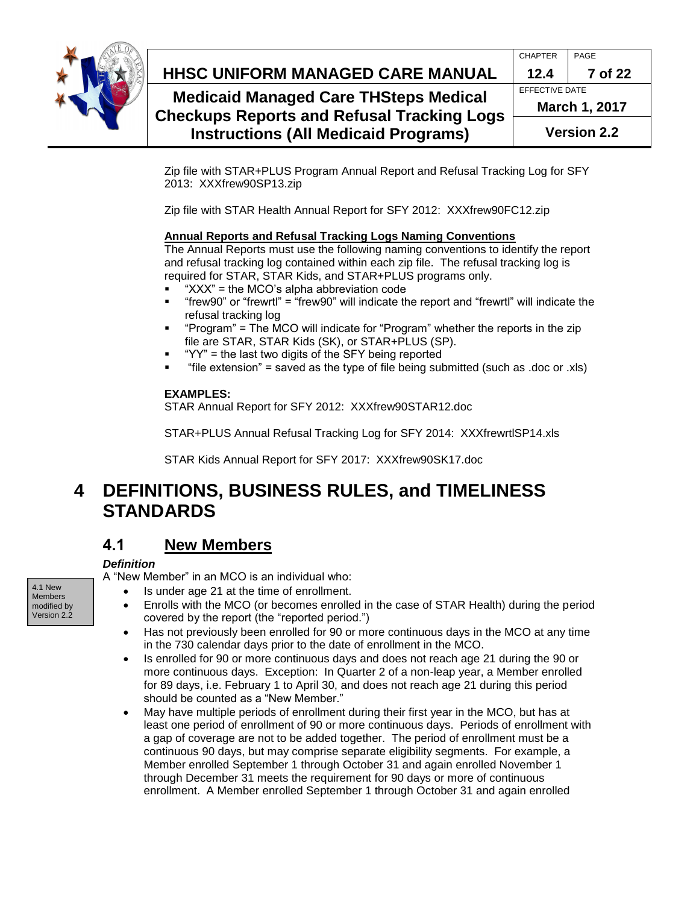

# **HHSC Uniform Managed Care MANUAL HHSC UNIFORM MANAGED CARE MANUAL 12.4 7 of 22**

## **Medicaid Managed Care THSteps Medical Checkups Reports and Refusal Tracking Logs Instructions (All Medicaid Programs)**

| <b>March 1, 2017</b> |         |  |
|----------------------|---------|--|
| EFFECTIVE DATE       |         |  |
| 12.4                 | 7 of 22 |  |
| <b>CHAPTER</b>       | PAGE    |  |
|                      |         |  |

Zip file with STAR+PLUS Program Annual Report and Refusal Tracking Log for SFY 2013: XXXfrew90SP13.zip

Zip file with STAR Health Annual Report for SFY 2012: XXXfrew90FC12.zip

### **Annual Reports and Refusal Tracking Logs Naming Conventions**

The Annual Reports must use the following naming conventions to identify the report and refusal tracking log contained within each zip file. The refusal tracking log is required for STAR, STAR Kids, and STAR+PLUS programs only.

- "XXX" = the MCO's alpha abbreviation code
- "frew90" or "frewrtl" = "frew90" will indicate the report and "frewrtl" will indicate the refusal tracking log
- "Program" = The MCO will indicate for "Program" whether the reports in the zip file are STAR, STAR Kids (SK), or STAR+PLUS (SP).
- "YY" = the last two digits of the SFY being reported
- "file extension" = saved as the type of file being submitted (such as .doc or .xls)

#### **EXAMPLES:**

STAR Annual Report for SFY 2012: XXXfrew90STAR12.doc

STAR+PLUS Annual Refusal Tracking Log for SFY 2014: XXXfrewrtlSP14.xls

STAR Kids Annual Report for SFY 2017: XXXfrew90SK17.doc

# <span id="page-6-0"></span>**4 DEFINITIONS, BUSINESS RULES, and TIMELINESS STANDARDS**

# <span id="page-6-1"></span>**4.1 New Members**

### *Definition*

A "New Member" in an MCO is an individual who:

- Is under age 21 at the time of enrollment.
- Enrolls with the MCO (or becomes enrolled in the case of STAR Health) during the period covered by the report (the "reported period.")
- Has not previously been enrolled for 90 or more continuous days in the MCO at any time in the 730 calendar days prior to the date of enrollment in the MCO.
- Is enrolled for 90 or more continuous days and does not reach age 21 during the 90 or more continuous days. Exception: In Quarter 2 of a non-leap year, a Member enrolled for 89 days, i.e. February 1 to April 30, and does not reach age 21 during this period should be counted as a "New Member."
- May have multiple periods of enrollment during their first year in the MCO, but has at least one period of enrollment of 90 or more continuous days. Periods of enrollment with a gap of coverage are not to be added together. The period of enrollment must be a continuous 90 days, but may comprise separate eligibility segments. For example, a Member enrolled September 1 through October 31 and again enrolled November 1 through December 31 meets the requirement for 90 days or more of continuous enrollment. A Member enrolled September 1 through October 31 and again enrolled

4.1 New Members modified by Version 2.2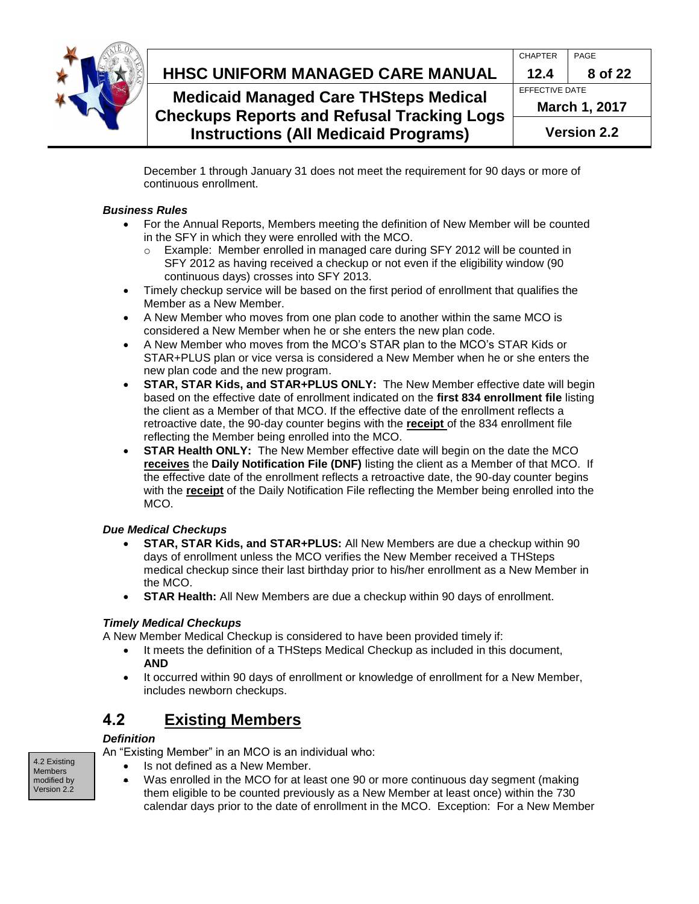

#### **HHSC Uniform Managed Care MANUAL HHSC UNIFORM MANAGED CARE MANUAL 12.4 8 of 22** CHAPTER PAGE **Medicaid Managed Care THSteps Medical**  EFFECTIVE DATE

**Checkups Reports and Refusal Tracking Logs Instructions (All Medicaid Programs)**

**March 1, 2017 Version 2.2**

December 1 through January 31 does not meet the requirement for 90 days or more of continuous enrollment.

### *Business Rules*

- For the Annual Reports, Members meeting the definition of New Member will be counted in the SFY in which they were enrolled with the MCO.
	- o Example: Member enrolled in managed care during SFY 2012 will be counted in SFY 2012 as having received a checkup or not even if the eligibility window (90 continuous days) crosses into SFY 2013.
- Timely checkup service will be based on the first period of enrollment that qualifies the Member as a New Member.
- A New Member who moves from one plan code to another within the same MCO is considered a New Member when he or she enters the new plan code.
- A New Member who moves from the MCO's STAR plan to the MCO's STAR Kids or STAR+PLUS plan or vice versa is considered a New Member when he or she enters the new plan code and the new program.
- **STAR, STAR Kids, and STAR+PLUS ONLY:** The New Member effective date will begin based on the effective date of enrollment indicated on the **first 834 enrollment file** listing the client as a Member of that MCO. If the effective date of the enrollment reflects a retroactive date, the 90-day counter begins with the **receipt** of the 834 enrollment file reflecting the Member being enrolled into the MCO.
- **STAR Health ONLY:** The New Member effective date will begin on the date the MCO **receives** the **Daily Notification File (DNF)** listing the client as a Member of that MCO. If the effective date of the enrollment reflects a retroactive date, the 90-day counter begins with the **receipt** of the Daily Notification File reflecting the Member being enrolled into the MCO.

### *Due Medical Checkups*

- **STAR, STAR Kids, and STAR+PLUS:** All New Members are due a checkup within 90 days of enrollment unless the MCO verifies the New Member received a THSteps medical checkup since their last birthday prior to his/her enrollment as a New Member in the MCO.
- **STAR Health:** All New Members are due a checkup within 90 days of enrollment.

### *Timely Medical Checkups*

A New Member Medical Checkup is considered to have been provided timely if:

- It meets the definition of a THSteps Medical Checkup as included in this document, **AND**
- It occurred within 90 days of enrollment or knowledge of enrollment for a New Member, includes newborn checkups.

# <span id="page-7-0"></span>**4.2 Existing Members**

### *Definition*

An "Existing Member" in an MCO is an individual who:

- Is not defined as a New Member.
- Was enrolled in the MCO for at least one 90 or more continuous day segment (making them eligible to be counted previously as a New Member at least once) within the 730 calendar days prior to the date of enrollment in the MCO. Exception: For a New Member

4.2 Existing Members modified by Version 2.2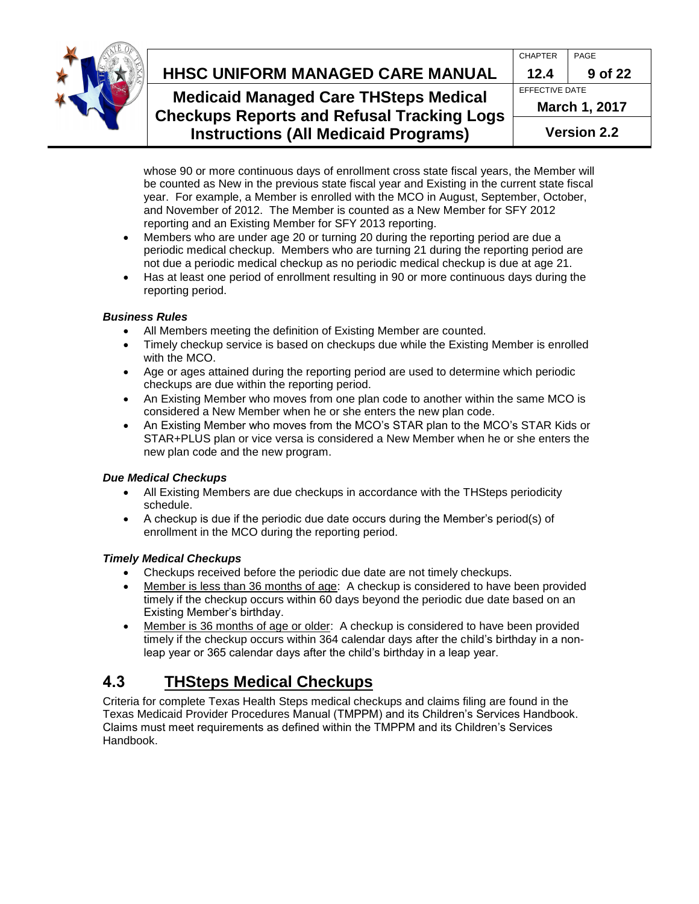

# **HHSC Uniform Managed Care MANUAL HHSC UNIFORM MANAGED CARE MANUAL 12.4 9 of 22**

## **Medicaid Managed Care THSteps Medical Checkups Reports and Refusal Tracking Logs Instructions (All Medicaid Programs)**

|    | <b>Version 2.2</b>    |         |  |
|----|-----------------------|---------|--|
| วร | <b>March 1, 2017</b>  |         |  |
|    | <b>EFFECTIVE DATE</b> |         |  |
|    | 12.4                  | 9 of 22 |  |
|    | <b>CHAPTER</b>        | PAGE    |  |
|    |                       |         |  |

whose 90 or more continuous days of enrollment cross state fiscal years, the Member will be counted as New in the previous state fiscal year and Existing in the current state fiscal year. For example, a Member is enrolled with the MCO in August, September, October, and November of 2012. The Member is counted as a New Member for SFY 2012 reporting and an Existing Member for SFY 2013 reporting.

- Members who are under age 20 or turning 20 during the reporting period are due a periodic medical checkup. Members who are turning 21 during the reporting period are not due a periodic medical checkup as no periodic medical checkup is due at age 21.
- Has at least one period of enrollment resulting in 90 or more continuous days during the reporting period.

### *Business Rules*

- All Members meeting the definition of Existing Member are counted.
- Timely checkup service is based on checkups due while the Existing Member is enrolled with the MCO.
- Age or ages attained during the reporting period are used to determine which periodic checkups are due within the reporting period.
- An Existing Member who moves from one plan code to another within the same MCO is considered a New Member when he or she enters the new plan code.
- An Existing Member who moves from the MCO's STAR plan to the MCO's STAR Kids or STAR+PLUS plan or vice versa is considered a New Member when he or she enters the new plan code and the new program.

### *Due Medical Checkups*

- All Existing Members are due checkups in accordance with the THSteps periodicity schedule.
- A checkup is due if the periodic due date occurs during the Member's period(s) of enrollment in the MCO during the reporting period.

### *Timely Medical Checkups*

- Checkups received before the periodic due date are not timely checkups.
- Member is less than 36 months of age: A checkup is considered to have been provided timely if the checkup occurs within 60 days beyond the periodic due date based on an Existing Member's birthday.
- Member is 36 months of age or older: A checkup is considered to have been provided timely if the checkup occurs within 364 calendar days after the child's birthday in a nonleap year or 365 calendar days after the child's birthday in a leap year.

# <span id="page-8-0"></span>**4.3 THSteps Medical Checkups**

Criteria for complete Texas Health Steps medical checkups and claims filing are found in the Texas Medicaid Provider Procedures Manual (TMPPM) and its Children's Services Handbook. Claims must meet requirements as defined within the TMPPM and its Children's Services Handbook.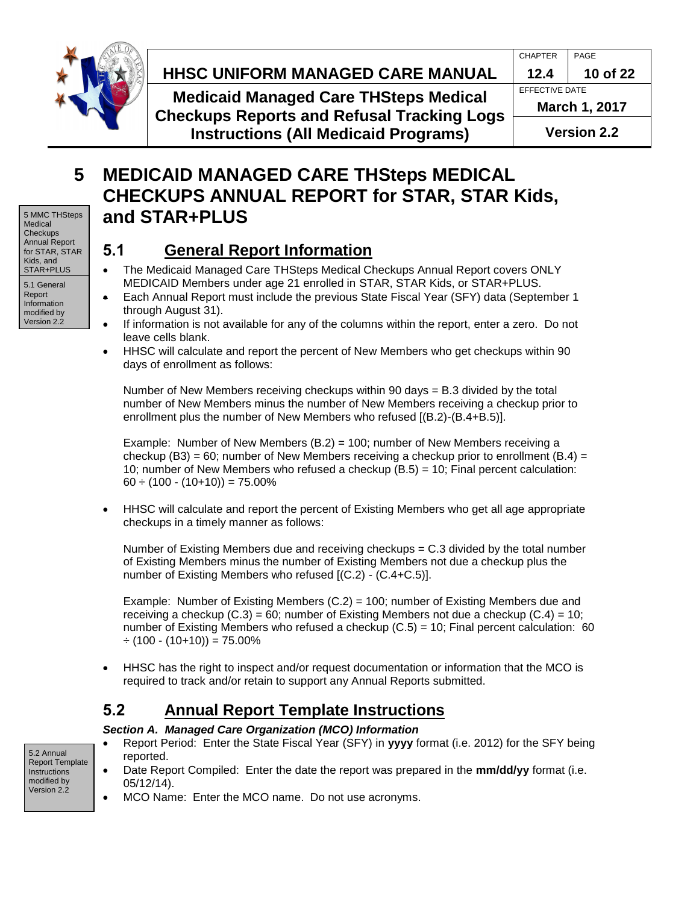

# **HHSC Uniform Managed Care MANUAL HHSC UNIFORM MANAGED CARE MANUAL 12.4 10 of 22**

**Medicaid Managed Care THSteps Medical Checkups Reports and Refusal Tracking Logs Instructions (All Medicaid Programs)**

modified by Version 2.2

# <span id="page-9-0"></span>**5 MEDICAID MANAGED CARE THSteps MEDICAL CHECKUPS ANNUAL REPORT for STAR, STAR Kids, and STAR+PLUS**

# <span id="page-9-1"></span>**5.1 General Report Information**

- The Medicaid Managed Care THSteps Medical Checkups Annual Report covers ONLY MEDICAID Members under age 21 enrolled in STAR, STAR Kids, or STAR+PLUS.
- Each Annual Report must include the previous State Fiscal Year (SFY) data (September 1 through August 31).
- If information is not available for any of the columns within the report, enter a zero. Do not leave cells blank.
- HHSC will calculate and report the percent of New Members who get checkups within 90 days of enrollment as follows:

Number of New Members receiving checkups within 90 days = B.3 divided by the total number of New Members minus the number of New Members receiving a checkup prior to enrollment plus the number of New Members who refused [(B.2)-(B.4+B.5)].

Example: Number of New Members (B.2) = 100; number of New Members receiving a checkup (B3) = 60; number of New Members receiving a checkup prior to enrollment (B.4) = 10; number of New Members who refused a checkup (B.5) = 10; Final percent calculation:  $60 \div (100 \cdot (10+10)) = 75.00\%$ 

 HHSC will calculate and report the percent of Existing Members who get all age appropriate checkups in a timely manner as follows:

Number of Existing Members due and receiving checkups  $= C.3$  divided by the total number of Existing Members minus the number of Existing Members not due a checkup plus the number of Existing Members who refused [(C.2) - (C.4+C.5)].

Example: Number of Existing Members  $(C.2) = 100$ ; number of Existing Members due and receiving a checkup  $(C.3) = 60$ ; number of Existing Members not due a checkup  $(C.4) = 10$ ; number of Existing Members who refused a checkup  $(C.5) = 10$ ; Final percent calculation: 60  $\div$  (100 - (10+10)) = 75.00%

 HHSC has the right to inspect and/or request documentation or information that the MCO is required to track and/or retain to support any Annual Reports submitted.

# <span id="page-9-2"></span>**5.2 Annual Report Template Instructions**

### *Section A. Managed Care Organization (MCO) Information*

- Report Period: Enter the State Fiscal Year (SFY) in **yyyy** format (i.e. 2012) for the SFY being reported.
- Date Report Compiled: Enter the date the report was prepared in the **mm/dd/yy** format (i.e. 05/12/14).
- MCO Name: Enter the MCO name. Do not use acronyms.

5.2 Annual Report Template Instructions modified by Version 2.2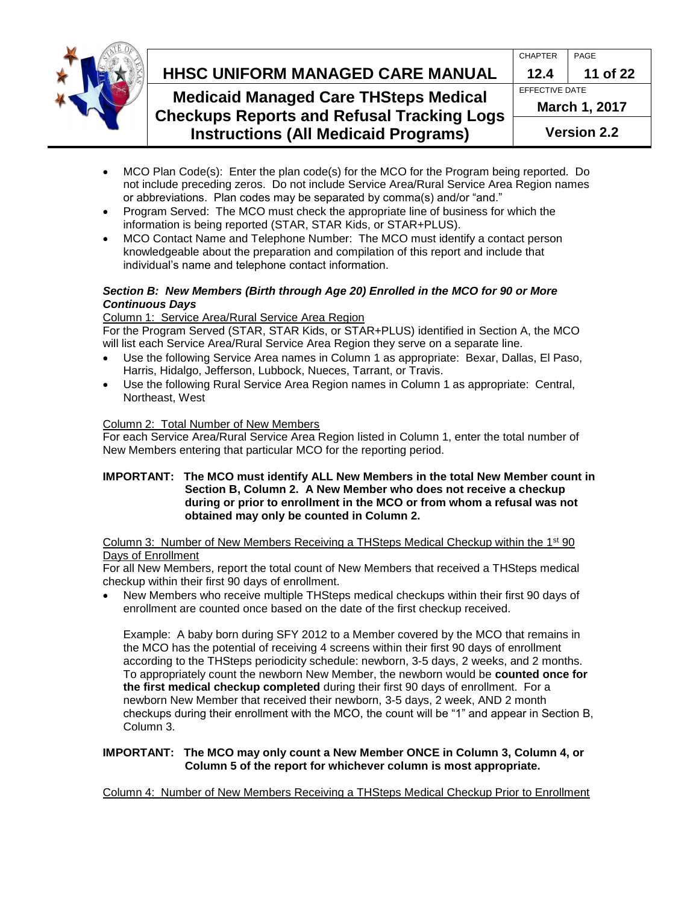

# **HHSC Uniform Managed Care MANUAL HHSC UNIFORM MANAGED CARE MANUAL 12.4 11 of 22**

### **Medicaid Managed Care THSteps Medical Checkups Reports and Refusal Tracking Logs Instructions (All Medicaid Programs)**

|    | <b>CHAPTER</b>        | PAGE     |  |
|----|-----------------------|----------|--|
|    | 12.4                  | 11 of 22 |  |
|    | <b>EFFECTIVE DATE</b> |          |  |
| IS | March 1, 2017         |          |  |
|    | <b>Version 2.2</b>    |          |  |

- MCO Plan Code(s): Enter the plan code(s) for the MCO for the Program being reported. Do not include preceding zeros. Do not include Service Area/Rural Service Area Region names or abbreviations. Plan codes may be separated by comma(s) and/or "and."
- Program Served: The MCO must check the appropriate line of business for which the information is being reported (STAR, STAR Kids, or STAR+PLUS).
- MCO Contact Name and Telephone Number: The MCO must identify a contact person knowledgeable about the preparation and compilation of this report and include that individual's name and telephone contact information.

#### *Section B: New Members (Birth through Age 20) Enrolled in the MCO for 90 or More Continuous Days*

### Column 1: Service Area/Rural Service Area Region

For the Program Served (STAR, STAR Kids, or STAR+PLUS) identified in Section A, the MCO will list each Service Area/Rural Service Area Region they serve on a separate line.

- Use the following Service Area names in Column 1 as appropriate: Bexar, Dallas, El Paso, Harris, Hidalgo, Jefferson, Lubbock, Nueces, Tarrant, or Travis.
- Use the following Rural Service Area Region names in Column 1 as appropriate: Central, Northeast, West

### Column 2: Total Number of New Members

For each Service Area/Rural Service Area Region listed in Column 1, enter the total number of New Members entering that particular MCO for the reporting period.

#### **IMPORTANT: The MCO must identify ALL New Members in the total New Member count in Section B, Column 2. A New Member who does not receive a checkup during or prior to enrollment in the MCO or from whom a refusal was not obtained may only be counted in Column 2.**

#### Column 3: Number of New Members Receiving a THSteps Medical Checkup within the  $1<sup>st</sup>90$ Days of Enrollment

For all New Members, report the total count of New Members that received a THSteps medical checkup within their first 90 days of enrollment.

 New Members who receive multiple THSteps medical checkups within their first 90 days of enrollment are counted once based on the date of the first checkup received.

Example: A baby born during SFY 2012 to a Member covered by the MCO that remains in the MCO has the potential of receiving 4 screens within their first 90 days of enrollment according to the THSteps periodicity schedule: newborn, 3-5 days, 2 weeks, and 2 months. To appropriately count the newborn New Member, the newborn would be **counted once for the first medical checkup completed** during their first 90 days of enrollment. For a newborn New Member that received their newborn, 3-5 days, 2 week, AND 2 month checkups during their enrollment with the MCO, the count will be "1" and appear in Section B, Column 3.

#### **IMPORTANT: The MCO may only count a New Member ONCE in Column 3, Column 4, or Column 5 of the report for whichever column is most appropriate.**

Column 4: Number of New Members Receiving a THSteps Medical Checkup Prior to Enrollment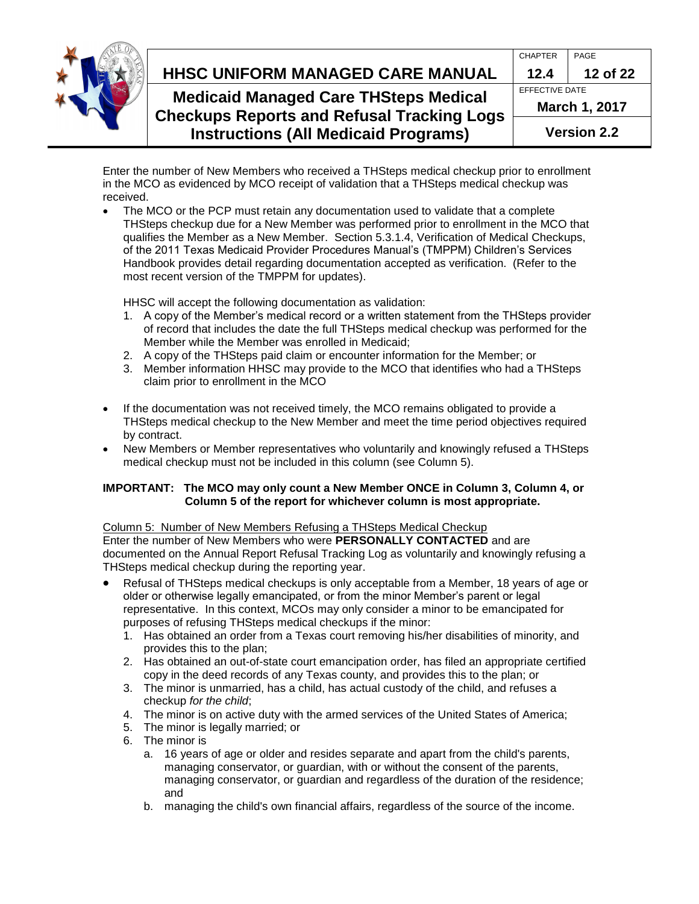

# **HHSC Uniform Managed Care MANUAL HHSC UNIFORM MANAGED CARE MANUAL 12.4 12 of 22**

## **Medicaid Managed Care THSteps Medical Checkups Reports and Refusal Tracking Logs Instructions (All Medicaid Programs)**

| <b>CHAPTER</b>        | PAGE     |
|-----------------------|----------|
| 12.4                  | 12 of 22 |
| <b>EFFECTIVE DATE</b> |          |
| <b>March 1, 2017</b>  |          |
| <b>Version 2.2</b>    |          |

Enter the number of New Members who received a THSteps medical checkup prior to enrollment in the MCO as evidenced by MCO receipt of validation that a THSteps medical checkup was received.

 The MCO or the PCP must retain any documentation used to validate that a complete THSteps checkup due for a New Member was performed prior to enrollment in the MCO that qualifies the Member as a New Member. Section 5.3.1.4, Verification of Medical Checkups, of the 2011 Texas Medicaid Provider Procedures Manual's (TMPPM) Children's Services Handbook provides detail regarding documentation accepted as verification. (Refer to the most recent version of the TMPPM for updates).

HHSC will accept the following documentation as validation:

- 1. A copy of the Member's medical record or a written statement from the THSteps provider of record that includes the date the full THSteps medical checkup was performed for the Member while the Member was enrolled in Medicaid;
- 2. A copy of the THSteps paid claim or encounter information for the Member; or
- 3. Member information HHSC may provide to the MCO that identifies who had a THSteps claim prior to enrollment in the MCO
- If the documentation was not received timely, the MCO remains obligated to provide a THSteps medical checkup to the New Member and meet the time period objectives required by contract.
- New Members or Member representatives who voluntarily and knowingly refused a THSteps medical checkup must not be included in this column (see Column 5).

### **IMPORTANT: The MCO may only count a New Member ONCE in Column 3, Column 4, or Column 5 of the report for whichever column is most appropriate.**

### Column 5: Number of New Members Refusing a THSteps Medical Checkup Enter the number of New Members who were **PERSONALLY CONTACTED** and are documented on the Annual Report Refusal Tracking Log as voluntarily and knowingly refusing a

THSteps medical checkup during the reporting year. Refusal of THSteps medical checkups is only acceptable from a Member, 18 years of age or older or otherwise legally emancipated, or from the minor Member's parent or legal

- representative. In this context, MCOs may only consider a minor to be emancipated for purposes of refusing THSteps medical checkups if the minor:
	- 1. Has obtained an order from a Texas court removing his/her disabilities of minority, and provides this to the plan;
	- 2. Has obtained an out-of-state court emancipation order, has filed an appropriate certified copy in the deed records of any Texas county, and provides this to the plan; or
	- 3. The minor is unmarried, has a child, has actual custody of the child, and refuses a checkup *for the child*;
	- 4. The minor is on active duty with the armed services of the United States of America;
	- 5. The minor is legally married; or
	- 6. The minor is
		- a. 16 years of age or older and resides separate and apart from the child's parents, managing conservator, or guardian, with or without the consent of the parents, managing conservator, or guardian and regardless of the duration of the residence; and
		- b. managing the child's own financial affairs, regardless of the source of the income.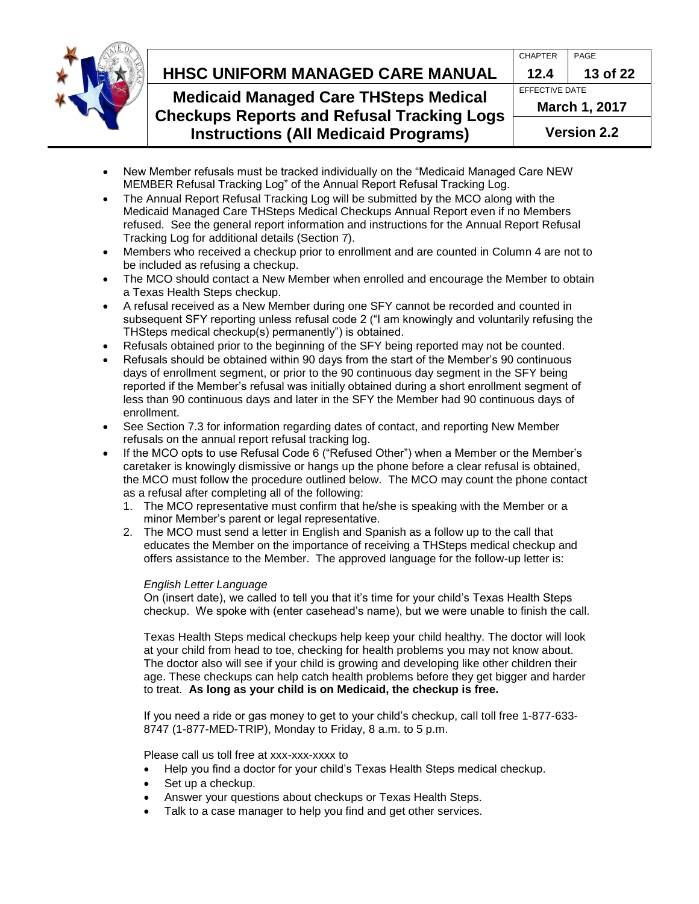

# **HHSC Uniform Managed Care MANUAL HHSC UNIFORM MANAGED CARE MANUAL 12.4 13 of 22**

## **Medicaid Managed Care THSteps Medical Checkups Reports and Refusal Tracking Logs Instructions (All Medicaid Programs)**

| <b>CHAPTER</b>       | PAGE     |  |
|----------------------|----------|--|
| 12.4                 | 13 of 22 |  |
| EFFECTIVE DATE       |          |  |
| <b>March 1, 2017</b> |          |  |
| <b>Version 2.2</b>   |          |  |

- New Member refusals must be tracked individually on the "Medicaid Managed Care NEW MEMBER Refusal Tracking Log" of the Annual Report Refusal Tracking Log.
- The Annual Report Refusal Tracking Log will be submitted by the MCO along with the Medicaid Managed Care THSteps Medical Checkups Annual Report even if no Members refused. See the general report information and instructions for the Annual Report Refusal Tracking Log for additional details (Section 7).
- Members who received a checkup prior to enrollment and are counted in Column 4 are not to be included as refusing a checkup.
- The MCO should contact a New Member when enrolled and encourage the Member to obtain a Texas Health Steps checkup.
- A refusal received as a New Member during one SFY cannot be recorded and counted in subsequent SFY reporting unless refusal code 2 ("I am knowingly and voluntarily refusing the THSteps medical checkup(s) permanently") is obtained.
- Refusals obtained prior to the beginning of the SFY being reported may not be counted.
- Refusals should be obtained within 90 days from the start of the Member's 90 continuous days of enrollment segment, or prior to the 90 continuous day segment in the SFY being reported if the Member's refusal was initially obtained during a short enrollment segment of less than 90 continuous days and later in the SFY the Member had 90 continuous days of enrollment.
- See Section 7.3 for information regarding dates of contact, and reporting New Member refusals on the annual report refusal tracking log.
- If the MCO opts to use Refusal Code 6 ("Refused Other") when a Member or the Member's caretaker is knowingly dismissive or hangs up the phone before a clear refusal is obtained, the MCO must follow the procedure outlined below. The MCO may count the phone contact as a refusal after completing all of the following:
	- 1. The MCO representative must confirm that he/she is speaking with the Member or a minor Member's parent or legal representative.
	- 2. The MCO must send a letter in English and Spanish as a follow up to the call that educates the Member on the importance of receiving a THSteps medical checkup and offers assistance to the Member. The approved language for the follow-up letter is:

### *English Letter Language*

On (insert date), we called to tell you that it's time for your child's Texas Health Steps checkup. We spoke with (enter casehead's name), but we were unable to finish the call.

Texas Health Steps medical checkups help keep your child healthy. The doctor will look at your child from head to toe, checking for health problems you may not know about. The doctor also will see if your child is growing and developing like other children their age. These checkups can help catch health problems before they get bigger and harder to treat. **As long as your child is on Medicaid, the checkup is free.** 

If you need a ride or gas money to get to your child's checkup, call toll free 1-877-633- 8747 (1-877-MED-TRIP), Monday to Friday, 8 a.m. to 5 p.m.

Please call us toll free at xxx-xxx-xxxx to

- Help you find a doctor for your child's Texas Health Steps medical checkup.
- Set up a checkup.
- Answer your questions about checkups or Texas Health Steps.
- Talk to a case manager to help you find and get other services.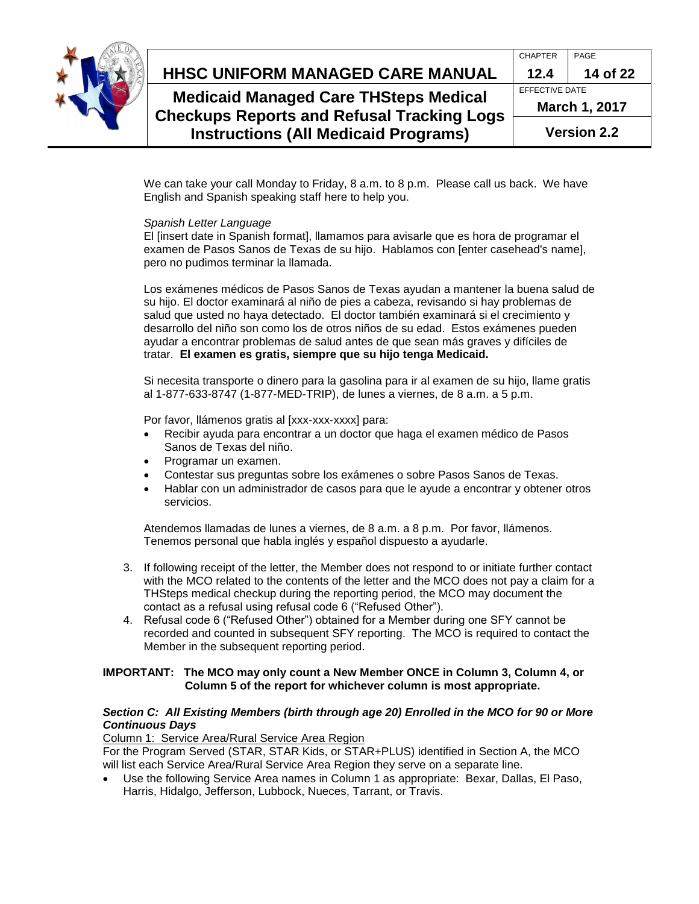

# **HHSC Uniform Managed Care MANUAL HHSC UNIFORM MANAGED CARE MANUAL 12.4 14 of 22**

**Medicaid Managed Care THSteps Medical Checkups Reports and Refusal Tracking Logs Instructions (All Medicaid Programs)**

| <b>CHAPTER</b>       | PAGE     |  |
|----------------------|----------|--|
| 12.4                 | 14 of 22 |  |
| EFFECTIVE DATE       |          |  |
| <b>March 1, 2017</b> |          |  |
| <b>Version 2.2</b>   |          |  |

We can take your call Monday to Friday, 8 a.m. to 8 p.m. Please call us back. We have English and Spanish speaking staff here to help you.

#### *Spanish Letter Language*

El [insert date in Spanish format], llamamos para avisarle que es hora de programar el examen de Pasos Sanos de Texas de su hijo. Hablamos con [enter casehead's name], pero no pudimos terminar la llamada.

Los exámenes médicos de Pasos Sanos de Texas ayudan a mantener la buena salud de su hijo. El doctor examinará al niño de pies a cabeza, revisando si hay problemas de salud que usted no haya detectado. El doctor también examinará si el crecimiento y desarrollo del niño son como los de otros niños de su edad. Estos exámenes pueden ayudar a encontrar problemas de salud antes de que sean más graves y difíciles de tratar. **El examen es gratis, siempre que su hijo tenga Medicaid.** 

Si necesita transporte o dinero para la gasolina para ir al examen de su hijo, llame gratis al 1-877-633-8747 (1-877-MED-TRIP), de lunes a viernes, de 8 a.m. a 5 p.m.

Por favor, llámenos gratis al [xxx-xxx-xxxx] para:

- Recibir ayuda para encontrar a un doctor que haga el examen médico de Pasos Sanos de Texas del niño.
- Programar un examen.
- Contestar sus preguntas sobre los exámenes o sobre Pasos Sanos de Texas.
- Hablar con un administrador de casos para que le ayude a encontrar y obtener otros servicios.

Atendemos llamadas de lunes a viernes, de 8 a.m. a 8 p.m. Por favor, llámenos. Tenemos personal que habla inglés y español dispuesto a ayudarle.

- 3. If following receipt of the letter, the Member does not respond to or initiate further contact with the MCO related to the contents of the letter and the MCO does not pay a claim for a THSteps medical checkup during the reporting period, the MCO may document the contact as a refusal using refusal code 6 ("Refused Other").
- 4. Refusal code 6 ("Refused Other") obtained for a Member during one SFY cannot be recorded and counted in subsequent SFY reporting. The MCO is required to contact the Member in the subsequent reporting period.

#### **IMPORTANT: The MCO may only count a New Member ONCE in Column 3, Column 4, or Column 5 of the report for whichever column is most appropriate.**

#### *Section C: All Existing Members (birth through age 20) Enrolled in the MCO for 90 or More Continuous Days*

Column 1: Service Area/Rural Service Area Region

For the Program Served (STAR, STAR Kids, or STAR+PLUS) identified in Section A, the MCO will list each Service Area/Rural Service Area Region they serve on a separate line.

 Use the following Service Area names in Column 1 as appropriate: Bexar, Dallas, El Paso, Harris, Hidalgo, Jefferson, Lubbock, Nueces, Tarrant, or Travis.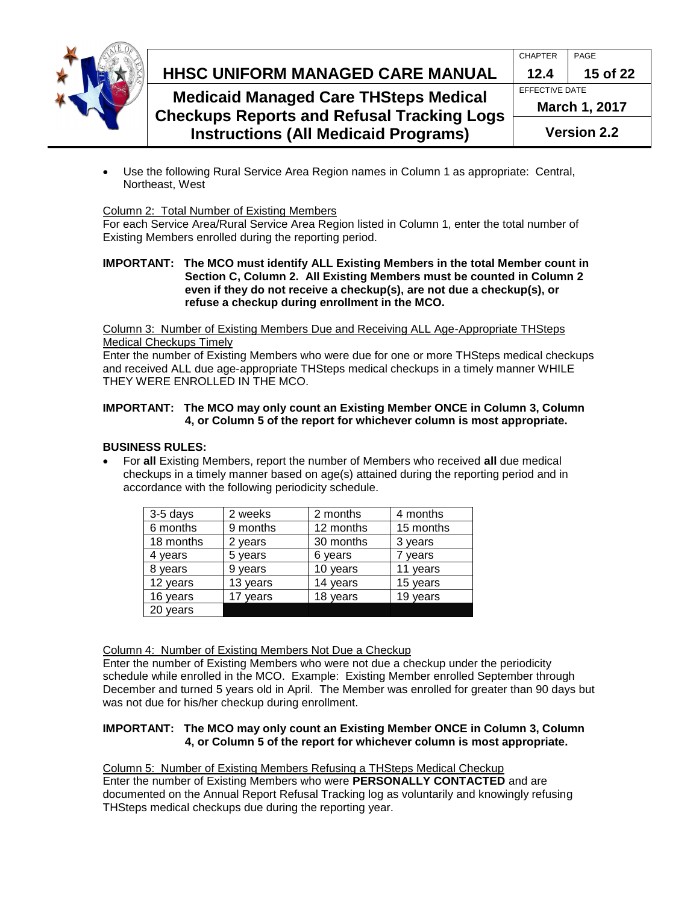

# **HHSC Uniform Managed Care MANUAL HHSC UNIFORM MANAGED CARE MANUAL 12.4 15 of 22**

### **Medicaid Managed Care THSteps Medical Checkups Reports and Refusal Tracking Logs Instructions (All Medicaid Programs)**

| <b>Version 2.2</b>    |          |  |
|-----------------------|----------|--|
| <b>March 1, 2017</b>  |          |  |
| <b>EFFECTIVE DATE</b> |          |  |
| 12.4                  | 15 of 22 |  |
| <b>CHAPTER</b>        | PAGE     |  |

 Use the following Rural Service Area Region names in Column 1 as appropriate: Central, Northeast, West

### Column 2: Total Number of Existing Members

For each Service Area/Rural Service Area Region listed in Column 1, enter the total number of Existing Members enrolled during the reporting period.

#### **IMPORTANT: The MCO must identify ALL Existing Members in the total Member count in Section C, Column 2. All Existing Members must be counted in Column 2 even if they do not receive a checkup(s), are not due a checkup(s), or refuse a checkup during enrollment in the MCO.**

Column 3: Number of Existing Members Due and Receiving ALL Age-Appropriate THSteps Medical Checkups Timely

Enter the number of Existing Members who were due for one or more THSteps medical checkups and received ALL due age-appropriate THSteps medical checkups in a timely manner WHILE THEY WERE ENROLLED IN THE MCO.

### **IMPORTANT: The MCO may only count an Existing Member ONCE in Column 3, Column 4, or Column 5 of the report for whichever column is most appropriate.**

### **BUSINESS RULES:**

 For **all** Existing Members, report the number of Members who received **all** due medical checkups in a timely manner based on age(s) attained during the reporting period and in accordance with the following periodicity schedule.

| 3-5 days  | 2 weeks  | 2 months  | 4 months  |
|-----------|----------|-----------|-----------|
| 6 months  | 9 months | 12 months | 15 months |
| 18 months | 2 years  | 30 months | 3 years   |
| 4 years   | 5 years  | 6 years   | 7 years   |
| 8 years   | 9 years  | 10 years  | 11 years  |
| 12 years  | 13 years | 14 years  | 15 years  |
| 16 years  | 17 years | 18 years  | 19 years  |
| 20 years  |          |           |           |

Column 4: Number of Existing Members Not Due a Checkup

Enter the number of Existing Members who were not due a checkup under the periodicity schedule while enrolled in the MCO. Example: Existing Member enrolled September through December and turned 5 years old in April. The Member was enrolled for greater than 90 days but was not due for his/her checkup during enrollment.

### **IMPORTANT: The MCO may only count an Existing Member ONCE in Column 3, Column 4, or Column 5 of the report for whichever column is most appropriate.**

Column 5: Number of Existing Members Refusing a THSteps Medical Checkup Enter the number of Existing Members who were **PERSONALLY CONTACTED** and are documented on the Annual Report Refusal Tracking log as voluntarily and knowingly refusing THSteps medical checkups due during the reporting year.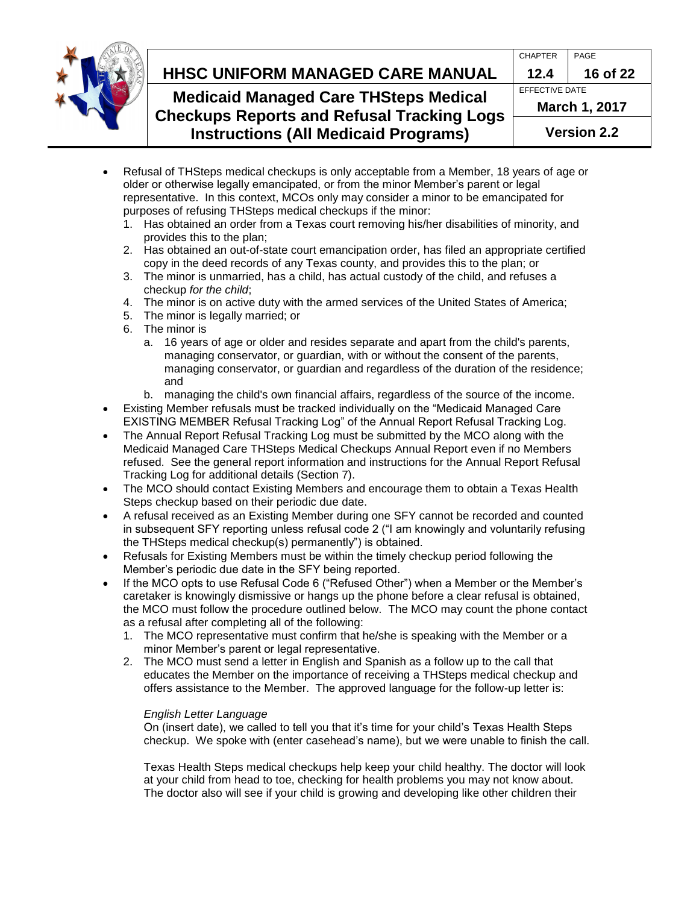

# **HHSC Uniform Managed Care MANUAL HHSC UNIFORM MANAGED CARE MANUAL 12.4 16 of 22**

## **Medicaid Managed Care THSteps Medical Checkups Reports and Refusal Tracking Logs Instructions (All Medicaid Programs)**

| <b>Version 2.2</b>    |          |  |
|-----------------------|----------|--|
| <b>March 1, 2017</b>  |          |  |
| <b>EFFECTIVE DATE</b> |          |  |
| 12.4                  | 16 of 22 |  |
| <b>CHAPTER</b>        | PAGE     |  |
|                       |          |  |

- Refusal of THSteps medical checkups is only acceptable from a Member, 18 years of age or older or otherwise legally emancipated, or from the minor Member's parent or legal representative. In this context, MCOs only may consider a minor to be emancipated for purposes of refusing THSteps medical checkups if the minor:
	- 1. Has obtained an order from a Texas court removing his/her disabilities of minority, and provides this to the plan;
	- 2. Has obtained an out-of-state court emancipation order, has filed an appropriate certified copy in the deed records of any Texas county, and provides this to the plan; or
	- 3. The minor is unmarried, has a child, has actual custody of the child, and refuses a checkup *for the child*;
	- 4. The minor is on active duty with the armed services of the United States of America;
	- 5. The minor is legally married; or
	- 6. The minor is
		- a. 16 years of age or older and resides separate and apart from the child's parents, managing conservator, or guardian, with or without the consent of the parents, managing conservator, or guardian and regardless of the duration of the residence; and
		- b. managing the child's own financial affairs, regardless of the source of the income.
- Existing Member refusals must be tracked individually on the "Medicaid Managed Care EXISTING MEMBER Refusal Tracking Log" of the Annual Report Refusal Tracking Log.
- The Annual Report Refusal Tracking Log must be submitted by the MCO along with the Medicaid Managed Care THSteps Medical Checkups Annual Report even if no Members refused. See the general report information and instructions for the Annual Report Refusal Tracking Log for additional details (Section 7).
- The MCO should contact Existing Members and encourage them to obtain a Texas Health Steps checkup based on their periodic due date.
- A refusal received as an Existing Member during one SFY cannot be recorded and counted in subsequent SFY reporting unless refusal code 2 ("I am knowingly and voluntarily refusing the THSteps medical checkup(s) permanently") is obtained.
- Refusals for Existing Members must be within the timely checkup period following the Member's periodic due date in the SFY being reported.
- If the MCO opts to use Refusal Code 6 ("Refused Other") when a Member or the Member's caretaker is knowingly dismissive or hangs up the phone before a clear refusal is obtained, the MCO must follow the procedure outlined below. The MCO may count the phone contact as a refusal after completing all of the following:
	- 1. The MCO representative must confirm that he/she is speaking with the Member or a minor Member's parent or legal representative.
	- 2. The MCO must send a letter in English and Spanish as a follow up to the call that educates the Member on the importance of receiving a THSteps medical checkup and offers assistance to the Member. The approved language for the follow-up letter is:

### *English Letter Language*

On (insert date), we called to tell you that it's time for your child's Texas Health Steps checkup. We spoke with (enter casehead's name), but we were unable to finish the call.

Texas Health Steps medical checkups help keep your child healthy. The doctor will look at your child from head to toe, checking for health problems you may not know about. The doctor also will see if your child is growing and developing like other children their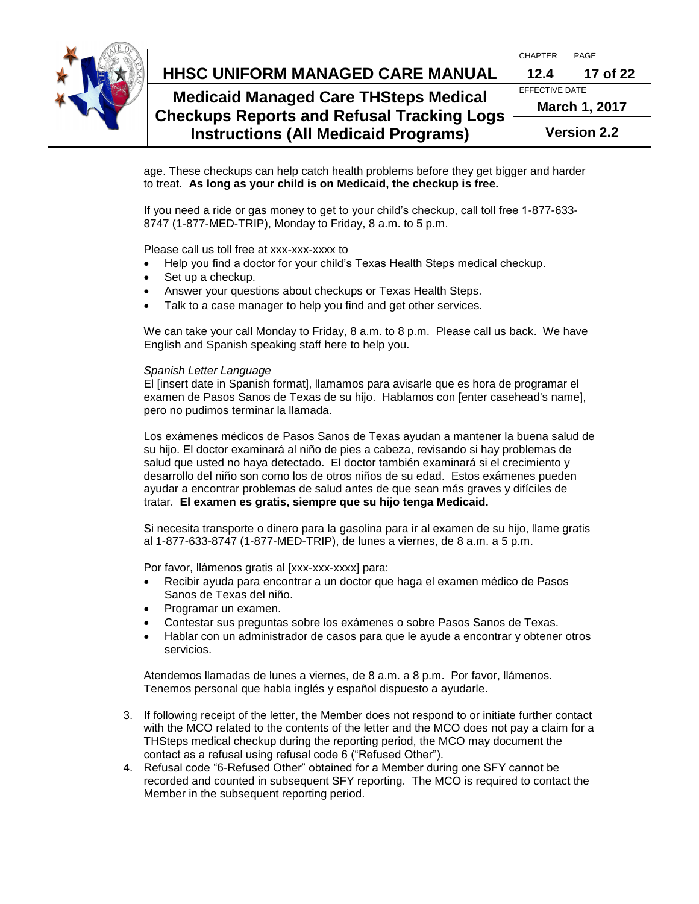

#### **HHSC Uniform Managed Care MANUAL HHSC UNIFORM MANAGED CARE MANUAL 12.4 17 of 22** CHAPTER PAGE **Medicaid Managed Care THSteps Medical Checkups Reports and Refusal Tracking Logs**  EFFECTIVE DATE **March 1, 2017**

**Version 2.2**

age. These checkups can help catch health problems before they get bigger and harder to treat. **As long as your child is on Medicaid, the checkup is free.** 

If you need a ride or gas money to get to your child's checkup, call toll free 1-877-633- 8747 (1-877-MED-TRIP), Monday to Friday, 8 a.m. to 5 p.m.

Please call us toll free at xxx-xxx-xxxx to

Help you find a doctor for your child's Texas Health Steps medical checkup.

**Instructions (All Medicaid Programs)**

- Set up a checkup.
- Answer your questions about checkups or Texas Health Steps.
- Talk to a case manager to help you find and get other services.

We can take your call Monday to Friday, 8 a.m. to 8 p.m. Please call us back. We have English and Spanish speaking staff here to help you.

#### *Spanish Letter Language*

El [insert date in Spanish format], llamamos para avisarle que es hora de programar el examen de Pasos Sanos de Texas de su hijo. Hablamos con [enter casehead's name], pero no pudimos terminar la llamada.

Los exámenes médicos de Pasos Sanos de Texas ayudan a mantener la buena salud de su hijo. El doctor examinará al niño de pies a cabeza, revisando si hay problemas de salud que usted no haya detectado. El doctor también examinará si el crecimiento y desarrollo del niño son como los de otros niños de su edad. Estos exámenes pueden ayudar a encontrar problemas de salud antes de que sean más graves y difíciles de tratar. **El examen es gratis, siempre que su hijo tenga Medicaid.** 

Si necesita transporte o dinero para la gasolina para ir al examen de su hijo, llame gratis al 1-877-633-8747 (1-877-MED-TRIP), de lunes a viernes, de 8 a.m. a 5 p.m.

Por favor, llámenos gratis al [xxx-xxx-xxxx] para:

- Recibir ayuda para encontrar a un doctor que haga el examen médico de Pasos Sanos de Texas del niño.
- Programar un examen.
- Contestar sus preguntas sobre los exámenes o sobre Pasos Sanos de Texas.
- Hablar con un administrador de casos para que le ayude a encontrar y obtener otros servicios.

Atendemos llamadas de lunes a viernes, de 8 a.m. a 8 p.m. Por favor, llámenos. Tenemos personal que habla inglés y español dispuesto a ayudarle.

- 3. If following receipt of the letter, the Member does not respond to or initiate further contact with the MCO related to the contents of the letter and the MCO does not pay a claim for a THSteps medical checkup during the reporting period, the MCO may document the contact as a refusal using refusal code 6 ("Refused Other").
- 4. Refusal code "6-Refused Other" obtained for a Member during one SFY cannot be recorded and counted in subsequent SFY reporting. The MCO is required to contact the Member in the subsequent reporting period.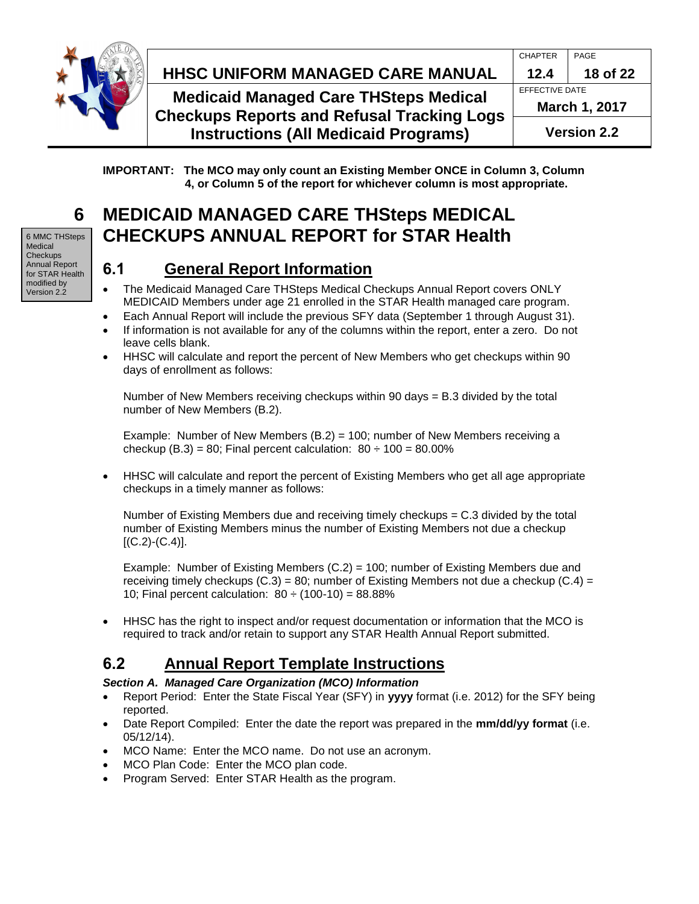

# **HHSC Uniform Managed Care MANUAL HHSC UNIFORM MANAGED CARE MANUAL 12.4 18 of 22**

**Medicaid Managed Care THSteps Medical Checkups Reports and Refusal Tracking Log Instructions (All Medicaid Programs)**

| IS |                |          |  |
|----|----------------|----------|--|
|    | March 1, 2017  |          |  |
|    | EFFECTIVE DATE |          |  |
|    | 12.4           | 18 of 22 |  |
|    | <b>CHAPTER</b> | PAGE     |  |

<span id="page-17-0"></span>**IMPORTANT: The MCO may only count an Existing Member ONCE in Column 3, Column 4, or Column 5 of the report for whichever column is most appropriate.**

# **6 MEDICAID MANAGED CARE THSteps MEDICAL CHECKUPS ANNUAL REPORT for STAR Health**

## <span id="page-17-1"></span>**6.1 General Report Information**

- The Medicaid Managed Care THSteps Medical Checkups Annual Report covers ONLY MEDICAID Members under age 21 enrolled in the STAR Health managed care program.
- Each Annual Report will include the previous SFY data (September 1 through August 31).
- If information is not available for any of the columns within the report, enter a zero. Do not leave cells blank.
- HHSC will calculate and report the percent of New Members who get checkups within 90 days of enrollment as follows:

Number of New Members receiving checkups within 90 days = B.3 divided by the total number of New Members (B.2).

Example: Number of New Members (B.2) = 100; number of New Members receiving a checkup (B.3) = 80; Final percent calculation:  $80 \div 100 = 80.00\%$ 

 HHSC will calculate and report the percent of Existing Members who get all age appropriate checkups in a timely manner as follows:

Number of Existing Members due and receiving timely checkups = C.3 divided by the total number of Existing Members minus the number of Existing Members not due a checkup  $[(C.2)-(C.4)].$ 

Example: Number of Existing Members  $(C.2) = 100$ ; number of Existing Members due and receiving timely checkups  $(C.3) = 80$ ; number of Existing Members not due a checkup  $(C.4) =$ 10; Final percent calculation:  $80 \div (100-10) = 88.88\%$ 

 HHSC has the right to inspect and/or request documentation or information that the MCO is required to track and/or retain to support any STAR Health Annual Report submitted.

# <span id="page-17-2"></span>**6.2 Annual Report Template Instructions**

### *Section A. Managed Care Organization (MCO) Information*

- Report Period: Enter the State Fiscal Year (SFY) in **yyyy** format (i.e. 2012) for the SFY being reported.
- Date Report Compiled: Enter the date the report was prepared in the **mm/dd/yy format** (i.e. 05/12/14).
- MCO Name: Enter the MCO name. Do not use an acronym.
- MCO Plan Code: Enter the MCO plan code.
- Program Served: Enter STAR Health as the program.

6 MMC THSteps Medical **Checkups** Annual Report for STAR Health modified by Version 2.2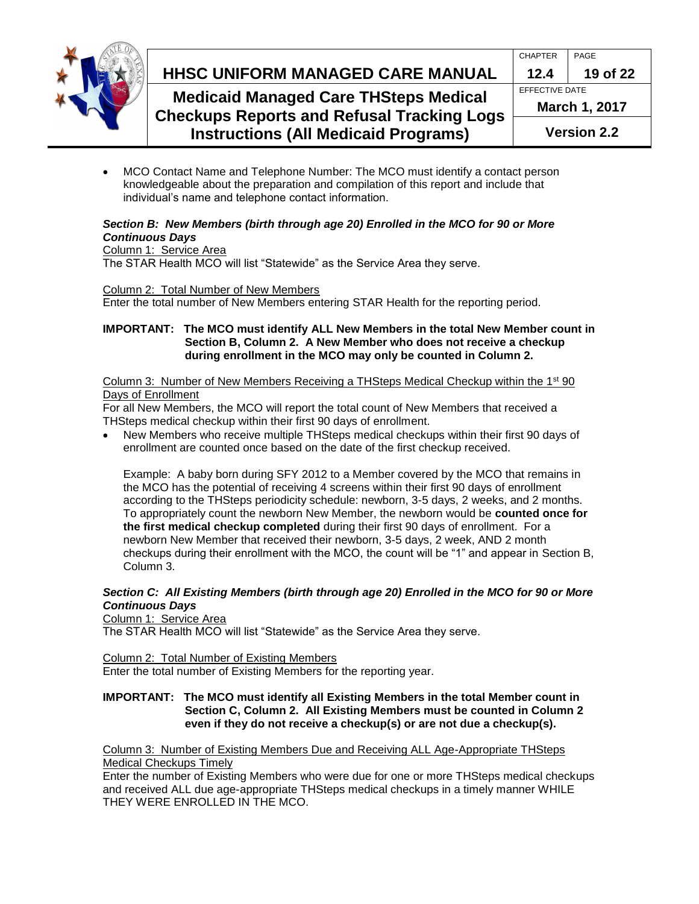

# **HHSC Uniform Managed Care MANUAL HHSC UNIFORM MANAGED CARE MANUAL 12.4 19 of 22**

### **Medicaid Managed Care THSteps Medical Checkups Reports and Refusal Tracking Logs Instructions (All Medicaid Programs)**

|   | <b>CHAPTER</b>       | PAGE     |  |
|---|----------------------|----------|--|
|   | 12.4                 | 19 of 22 |  |
|   | EFFECTIVE DATE       |          |  |
| S | <b>March 1, 2017</b> |          |  |
|   | <b>Version 2.2</b>   |          |  |

 MCO Contact Name and Telephone Number: The MCO must identify a contact person knowledgeable about the preparation and compilation of this report and include that individual's name and telephone contact information.

### *Section B: New Members (birth through age 20) Enrolled in the MCO for 90 or More Continuous Days*

#### Column 1: Service Area

The STAR Health MCO will list "Statewide" as the Service Area they serve.

### Column 2: Total Number of New Members

Enter the total number of New Members entering STAR Health for the reporting period.

#### **IMPORTANT: The MCO must identify ALL New Members in the total New Member count in Section B, Column 2. A New Member who does not receive a checkup during enrollment in the MCO may only be counted in Column 2.**

#### Column 3: Number of New Members Receiving a THSteps Medical Checkup within the 1<sup>st</sup> 90 Days of Enrollment

For all New Members, the MCO will report the total count of New Members that received a THSteps medical checkup within their first 90 days of enrollment.

 New Members who receive multiple THSteps medical checkups within their first 90 days of enrollment are counted once based on the date of the first checkup received.

Example: A baby born during SFY 2012 to a Member covered by the MCO that remains in the MCO has the potential of receiving 4 screens within their first 90 days of enrollment according to the THSteps periodicity schedule: newborn, 3-5 days, 2 weeks, and 2 months. To appropriately count the newborn New Member, the newborn would be **counted once for the first medical checkup completed** during their first 90 days of enrollment. For a newborn New Member that received their newborn, 3-5 days, 2 week, AND 2 month checkups during their enrollment with the MCO, the count will be "1" and appear in Section B, Column 3.

### *Section C: All Existing Members (birth through age 20) Enrolled in the MCO for 90 or More Continuous Days*

Column 1: Service Area

The STAR Health MCO will list "Statewide" as the Service Area they serve.

Column 2: Total Number of Existing Members

Enter the total number of Existing Members for the reporting year.

#### **IMPORTANT: The MCO must identify all Existing Members in the total Member count in Section C, Column 2. All Existing Members must be counted in Column 2 even if they do not receive a checkup(s) or are not due a checkup(s).**

Column 3: Number of Existing Members Due and Receiving ALL Age-Appropriate THSteps Medical Checkups Timely

Enter the number of Existing Members who were due for one or more THSteps medical checkups and received ALL due age-appropriate THSteps medical checkups in a timely manner WHILE THEY WERE ENROLLED IN THE MCO.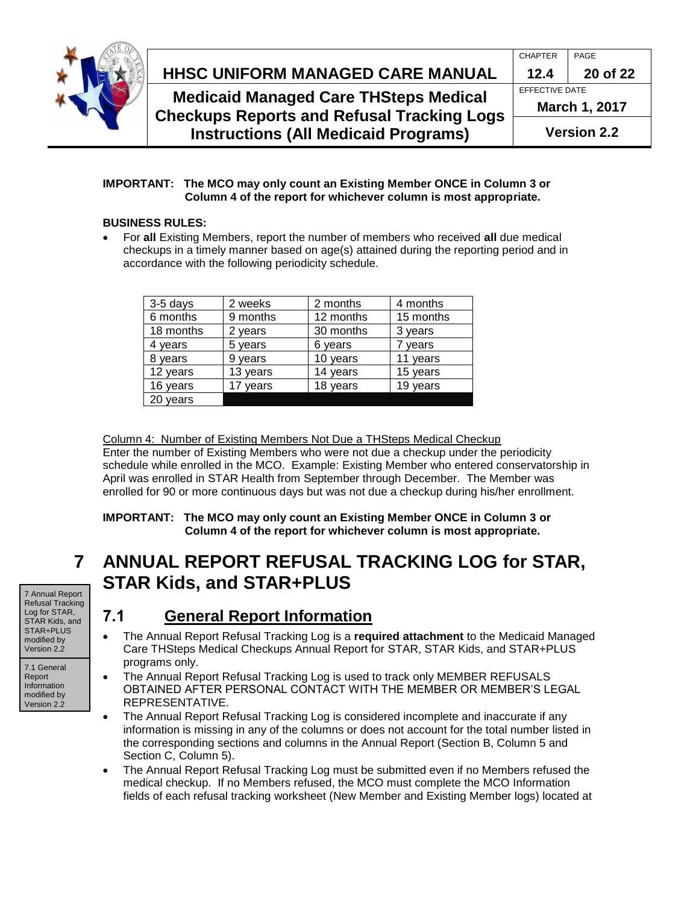

#### **HHSC Uniform Managed Care MANUAL HHSC UNIFORM MANAGED CARE MANUAL 12.4 20 of 22** CHAPTER PAGE **Medicaid Managed Care THSteps Medical Checkups Reports and Refusal Tracking Logs Instructions (All Medicaid Programs)** EFFECTIVE DATE **March 1, 2017 Version 2.2**

#### **IMPORTANT: The MCO may only count an Existing Member ONCE in Column 3 or Column 4 of the report for whichever column is most appropriate.**

### **BUSINESS RULES:**

 For **all** Existing Members, report the number of members who received **all** due medical checkups in a timely manner based on age(s) attained during the reporting period and in accordance with the following periodicity schedule.

| 3-5 days  | 2 weeks  | 2 months  | 4 months  |
|-----------|----------|-----------|-----------|
| 6 months  | 9 months | 12 months | 15 months |
| 18 months | 2 years  | 30 months | 3 years   |
| 4 years   | 5 years  | 6 years   | ' years   |
| 8 years   | 9 years  | 10 years  | 11 years  |
| 12 years  | 13 years | 14 years  | 15 years  |
| 16 years  | 17 years | 18 years  | 19 years  |
| 20 years  |          |           |           |

Column 4: Number of Existing Members Not Due a THSteps Medical Checkup Enter the number of Existing Members who were not due a checkup under the periodicity schedule while enrolled in the MCO. Example: Existing Member who entered conservatorship in April was enrolled in STAR Health from September through December. The Member was enrolled for 90 or more continuous days but was not due a checkup during his/her enrollment.

### <span id="page-19-0"></span>**IMPORTANT: The MCO may only count an Existing Member ONCE in Column 3 or Column 4 of the report for whichever column is most appropriate.**

# **7 ANNUAL REPORT REFUSAL TRACKING LOG for STAR, STAR Kids, and STAR+PLUS**

#### 7 Annual Report Refusal Tracking Log for STAR, STAR Kids, and STAR+PLUS modified by

7.1 General Report Information modified by Version 2.2

Version 2.2

# <span id="page-19-1"></span>**7.1 General Report Information**

- The Annual Report Refusal Tracking Log is a **required attachment** to the Medicaid Managed Care THSteps Medical Checkups Annual Report for STAR, STAR Kids, and STAR+PLUS programs only.
- The Annual Report Refusal Tracking Log is used to track only MEMBER REFUSALS OBTAINED AFTER PERSONAL CONTACT WITH THE MEMBER OR MEMBER'S LEGAL REPRESENTATIVE.
- The Annual Report Refusal Tracking Log is considered incomplete and inaccurate if any information is missing in any of the columns or does not account for the total number listed in the corresponding sections and columns in the Annual Report (Section B, Column 5 and Section C, Column 5).
- The Annual Report Refusal Tracking Log must be submitted even if no Members refused the medical checkup. If no Members refused, the MCO must complete the MCO Information fields of each refusal tracking worksheet (New Member and Existing Member logs) located at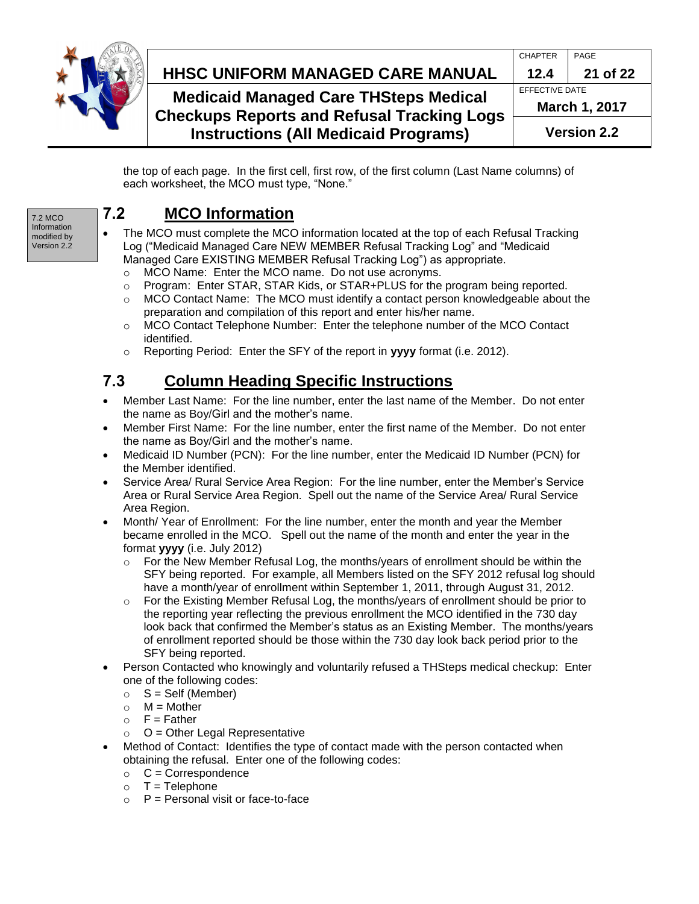

# **HHSC Uniform Managed Care MANUAL HHSC UNIFORM MANAGED CARE MANUAL 12.4 21 of 22**

**Medicaid Managed Care THSteps Medica Checkups Reports and Refusal Tracking L Instructions (All Medicaid Programs)**

| <b>Version 2.2</b>   |          |  |
|----------------------|----------|--|
| <b>March 1, 2017</b> |          |  |
| EFFECTIVE DATE       |          |  |
| 12.4                 | 21 of 22 |  |
| <b>CHAPTER</b>       | PAGE     |  |
|                      |          |  |

the top of each page. In the first cell, first row, of the first column (Last Name columns) of each worksheet, the MCO must type, "None."

7.2 MCO Information modified by Version 2.2

# <span id="page-20-0"></span>**7.2 MCO Information**

- The MCO must complete the MCO information located at the top of each Refusal Tracking Log ("Medicaid Managed Care NEW MEMBER Refusal Tracking Log" and "Medicaid Managed Care EXISTING MEMBER Refusal Tracking Log") as appropriate.
	- o MCO Name: Enter the MCO name. Do not use acronyms.
	- $\circ$  Program: Enter STAR, STAR Kids, or STAR+PLUS for the program being reported.
	- $\circ$  MCO Contact Name: The MCO must identify a contact person knowledgeable about the preparation and compilation of this report and enter his/her name.
	- o MCO Contact Telephone Number: Enter the telephone number of the MCO Contact identified.
	- o Reporting Period: Enter the SFY of the report in **yyyy** format (i.e. 2012).

# <span id="page-20-1"></span>**7.3 Column Heading Specific Instructions**

- Member Last Name: For the line number, enter the last name of the Member. Do not enter the name as Boy/Girl and the mother's name.
- Member First Name: For the line number, enter the first name of the Member. Do not enter the name as Boy/Girl and the mother's name.
- Medicaid ID Number (PCN): For the line number, enter the Medicaid ID Number (PCN) for the Member identified.
- Service Area/ Rural Service Area Region: For the line number, enter the Member's Service Area or Rural Service Area Region. Spell out the name of the Service Area/ Rural Service Area Region.
- Month/ Year of Enrollment: For the line number, enter the month and year the Member became enrolled in the MCO. Spell out the name of the month and enter the year in the format **yyyy** (i.e. July 2012)
	- $\circ$  For the New Member Refusal Log, the months/years of enrollment should be within the SFY being reported. For example, all Members listed on the SFY 2012 refusal log should have a month/year of enrollment within September 1, 2011, through August 31, 2012.
	- $\circ$  For the Existing Member Refusal Log, the months/years of enrollment should be prior to the reporting year reflecting the previous enrollment the MCO identified in the 730 day look back that confirmed the Member's status as an Existing Member. The months/years of enrollment reported should be those within the 730 day look back period prior to the SFY being reported.
- Person Contacted who knowingly and voluntarily refused a THSteps medical checkup: Enter one of the following codes:
	- $\circ$  S = Self (Member)
	- $\circ$  M = Mother
	- $\circ$  F = Father
	- $O =$  O = Other Legal Representative
- Method of Contact: Identifies the type of contact made with the person contacted when obtaining the refusal. Enter one of the following codes:
	- $\circ$  C = Correspondence
	- $\circ$  T = Telephone
	- $\circ$  P = Personal visit or face-to-face